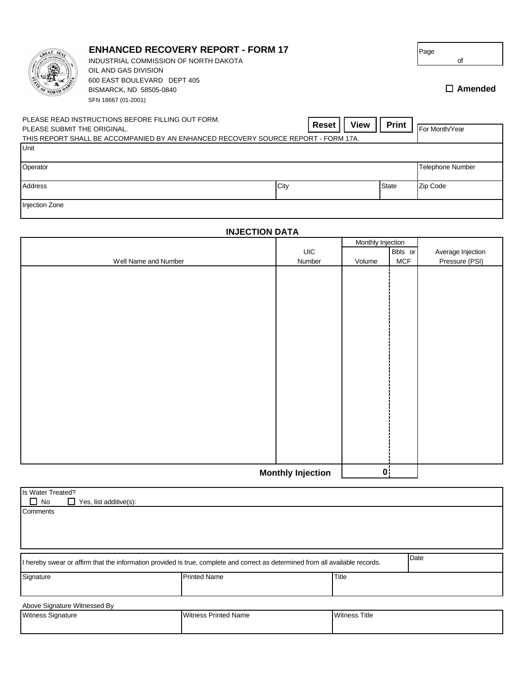| <b>OF NORTH</b>                                                                                                                                                        | <b>ENHANCED RECOVERY REPORT - FORM 17</b><br>INDUSTRIAL COMMISSION OF NORTH DAKOTA<br>OIL AND GAS DIVISION<br>600 EAST BOULEVARD DEPT 405<br>BISMARCK, ND 58505-0840<br>SFN 18667 (01-2001) |                |              | Page<br>of<br>$\Box$ Amended |
|------------------------------------------------------------------------------------------------------------------------------------------------------------------------|---------------------------------------------------------------------------------------------------------------------------------------------------------------------------------------------|----------------|--------------|------------------------------|
| PLEASE READ INSTRUCTIONS BEFORE FILLING OUT FORM.<br>PLEASE SUBMIT THE ORIGINAL.<br>THIS REPORT SHALL BE ACCOMPANIED BY AN ENHANCED RECOVERY SOURCE REPORT - FORM 17A. | <b>Print</b>                                                                                                                                                                                | For Month/Year |              |                              |
| Unit                                                                                                                                                                   |                                                                                                                                                                                             |                |              |                              |
| Operator                                                                                                                                                               |                                                                                                                                                                                             |                |              | <b>Telephone Number</b>      |
| Address                                                                                                                                                                |                                                                                                                                                                                             | City           | <b>State</b> | Zip Code                     |

Injection Zone

| <b>INJECTION DATA</b>    |        |                   |                        |                   |  |  |  |
|--------------------------|--------|-------------------|------------------------|-------------------|--|--|--|
|                          |        | Monthly Injection |                        |                   |  |  |  |
|                          | UIC    |                   | Bbls or                | Average Injection |  |  |  |
| Well Name and Number     | Number | Volume            | <b>MCF</b>             | Pressure (PSI)    |  |  |  |
|                          |        |                   |                        |                   |  |  |  |
|                          |        |                   |                        |                   |  |  |  |
|                          |        |                   |                        |                   |  |  |  |
|                          |        |                   |                        |                   |  |  |  |
|                          |        |                   |                        |                   |  |  |  |
|                          |        |                   |                        |                   |  |  |  |
|                          |        |                   |                        |                   |  |  |  |
|                          |        |                   |                        |                   |  |  |  |
|                          |        |                   |                        |                   |  |  |  |
|                          |        |                   |                        |                   |  |  |  |
|                          |        |                   |                        |                   |  |  |  |
|                          |        |                   |                        |                   |  |  |  |
|                          |        |                   |                        |                   |  |  |  |
|                          |        |                   |                        |                   |  |  |  |
|                          |        |                   |                        |                   |  |  |  |
|                          |        |                   |                        |                   |  |  |  |
|                          |        |                   |                        |                   |  |  |  |
|                          |        |                   |                        |                   |  |  |  |
|                          |        |                   |                        |                   |  |  |  |
|                          |        |                   |                        |                   |  |  |  |
| <b>Monthly Injection</b> |        |                   | $\mathbf{0}^{\dagger}$ |                   |  |  |  |

**Comments**  $\Box$  No  $\Box$  Yes, list additive(s): Is Water Treated? I hereby swear or affirm that the information provided is true, complete and correct as determined from all available records. Signature **Title** Printed Name **Printed Name Title** Above Signature Witnessed By Witness Signature **Witness Printed Name** Witness Printed Name **Witness Title**